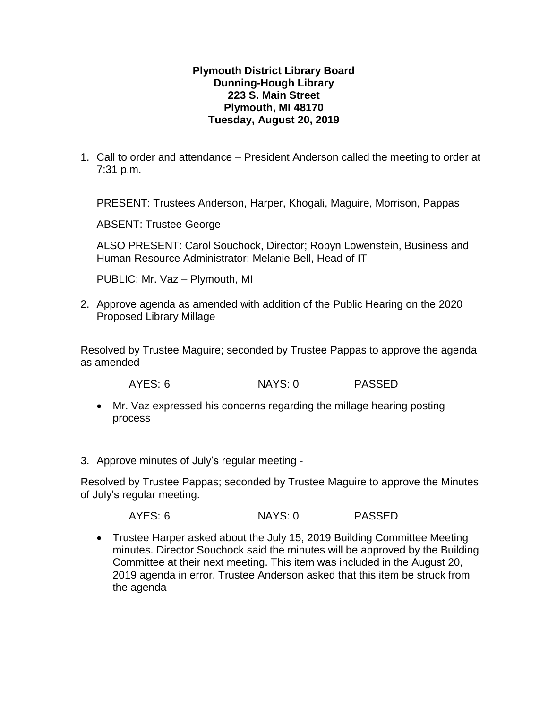## **Plymouth District Library Board Dunning-Hough Library 223 S. Main Street Plymouth, MI 48170 Tuesday, August 20, 2019**

1. Call to order and attendance – President Anderson called the meeting to order at 7:31 p.m.

PRESENT: Trustees Anderson, Harper, Khogali, Maguire, Morrison, Pappas

ABSENT: Trustee George

ALSO PRESENT: Carol Souchock, Director; Robyn Lowenstein, Business and Human Resource Administrator; Melanie Bell, Head of IT

PUBLIC: Mr. Vaz – Plymouth, MI

2. Approve agenda as amended with addition of the Public Hearing on the 2020 Proposed Library Millage

Resolved by Trustee Maguire; seconded by Trustee Pappas to approve the agenda as amended

AYES: 6 NAYS: 0 PASSED

- Mr. Vaz expressed his concerns regarding the millage hearing posting process
- 3. Approve minutes of July's regular meeting -

Resolved by Trustee Pappas; seconded by Trustee Maguire to approve the Minutes of July's regular meeting.

AYES: 6 NAYS: 0 PASSED

 Trustee Harper asked about the July 15, 2019 Building Committee Meeting minutes. Director Souchock said the minutes will be approved by the Building Committee at their next meeting. This item was included in the August 20, 2019 agenda in error. Trustee Anderson asked that this item be struck from the agenda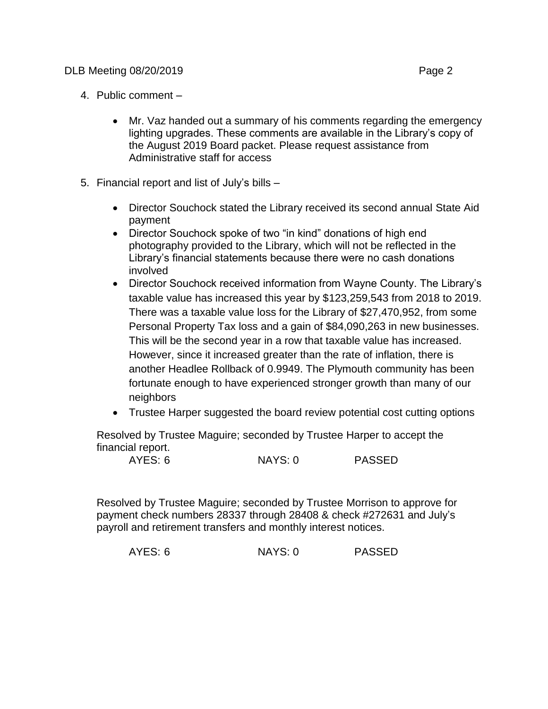- 4. Public comment
	- Mr. Vaz handed out a summary of his comments regarding the emergency lighting upgrades. These comments are available in the Library's copy of the August 2019 Board packet. Please request assistance from Administrative staff for access
- 5. Financial report and list of July's bills
	- Director Souchock stated the Library received its second annual State Aid payment
	- Director Souchock spoke of two "in kind" donations of high end photography provided to the Library, which will not be reflected in the Library's financial statements because there were no cash donations involved
	- Director Souchock received information from Wayne County. The Library's taxable value has increased this year by \$123,259,543 from 2018 to 2019. There was a taxable value loss for the Library of \$27,470,952, from some Personal Property Tax loss and a gain of \$84,090,263 in new businesses. This will be the second year in a row that taxable value has increased. However, since it increased greater than the rate of inflation, there is another Headlee Rollback of 0.9949. The Plymouth community has been fortunate enough to have experienced stronger growth than many of our neighbors
	- Trustee Harper suggested the board review potential cost cutting options

Resolved by Trustee Maguire; seconded by Trustee Harper to accept the financial report.

| AYES: 6 | NAYS: 0 | <b>PASSED</b> |
|---------|---------|---------------|
|         |         |               |

Resolved by Trustee Maguire; seconded by Trustee Morrison to approve for payment check numbers 28337 through 28408 & check #272631 and July's payroll and retirement transfers and monthly interest notices.

|  | AYES: 6 | NAYS: 0 | <b>PASSED</b> |
|--|---------|---------|---------------|
|--|---------|---------|---------------|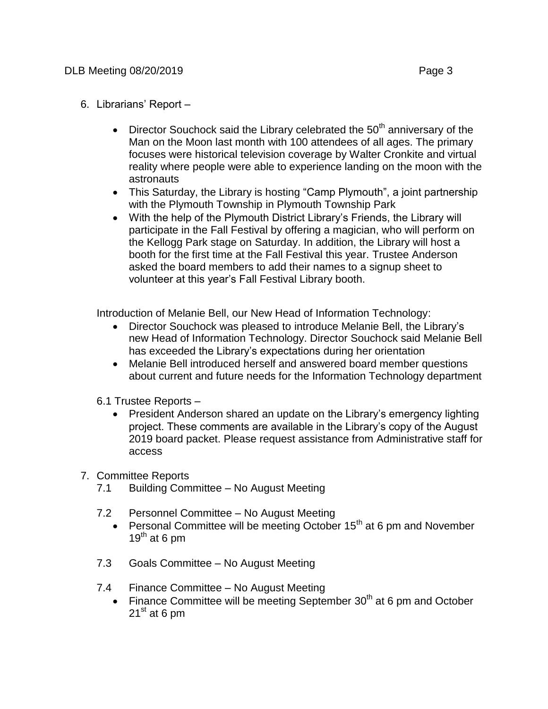## DLB Meeting 08/20/2019 **Page 3**

- 6. Librarians' Report
	- $\bullet$  Director Souchock said the Library celebrated the 50<sup>th</sup> anniversary of the Man on the Moon last month with 100 attendees of all ages. The primary focuses were historical television coverage by Walter Cronkite and virtual reality where people were able to experience landing on the moon with the astronauts
	- This Saturday, the Library is hosting "Camp Plymouth", a joint partnership with the Plymouth Township in Plymouth Township Park
	- With the help of the Plymouth District Library's Friends, the Library will participate in the Fall Festival by offering a magician, who will perform on the Kellogg Park stage on Saturday. In addition, the Library will host a booth for the first time at the Fall Festival this year. Trustee Anderson asked the board members to add their names to a signup sheet to volunteer at this year's Fall Festival Library booth.

Introduction of Melanie Bell, our New Head of Information Technology:

- Director Souchock was pleased to introduce Melanie Bell, the Library's new Head of Information Technology. Director Souchock said Melanie Bell has exceeded the Library's expectations during her orientation
- Melanie Bell introduced herself and answered board member questions about current and future needs for the Information Technology department
- 6.1 Trustee Reports
	- President Anderson shared an update on the Library's emergency lighting project. These comments are available in the Library's copy of the August 2019 board packet. Please request assistance from Administrative staff for access
- 7. Committee Reports
	- 7.1 Building Committee No August Meeting
	- 7.2 Personnel Committee No August Meeting
		- **•** Personal Committee will be meeting October 15<sup>th</sup> at 6 pm and November 19<sup>th</sup> at 6 pm
	- 7.3 Goals Committee No August Meeting
	- 7.4 Finance Committee No August Meeting
		- Finance Committee will be meeting September  $30<sup>th</sup>$  at 6 pm and October  $21<sup>st</sup>$  at 6 pm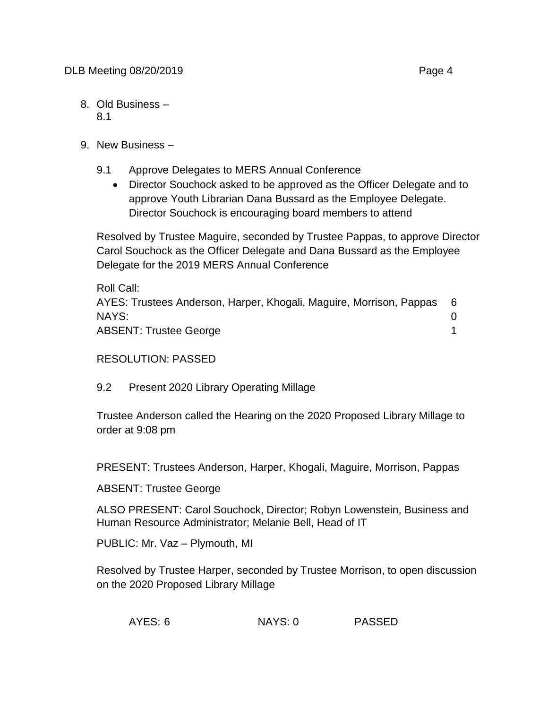- 8. Old Business 8.1
- 9. New Business
	- 9.1 Approve Delegates to MERS Annual Conference
		- Director Souchock asked to be approved as the Officer Delegate and to approve Youth Librarian Dana Bussard as the Employee Delegate. Director Souchock is encouraging board members to attend

Resolved by Trustee Maguire, seconded by Trustee Pappas, to approve Director Carol Souchock as the Officer Delegate and Dana Bussard as the Employee Delegate for the 2019 MERS Annual Conference

| Roll Call:                                                          |   |
|---------------------------------------------------------------------|---|
| AYES: Trustees Anderson, Harper, Khogali, Maguire, Morrison, Pappas | 6 |
| NAYS:                                                               |   |
| <b>ABSENT: Trustee George</b>                                       |   |

RESOLUTION: PASSED

9.2 Present 2020 Library Operating Millage

Trustee Anderson called the Hearing on the 2020 Proposed Library Millage to order at 9:08 pm

PRESENT: Trustees Anderson, Harper, Khogali, Maguire, Morrison, Pappas

ABSENT: Trustee George

ALSO PRESENT: Carol Souchock, Director; Robyn Lowenstein, Business and Human Resource Administrator; Melanie Bell, Head of IT

PUBLIC: Mr. Vaz – Plymouth, MI

Resolved by Trustee Harper, seconded by Trustee Morrison, to open discussion on the 2020 Proposed Library Millage

| AYES: 6 | NAYS: 0 | <b>PASSED</b> |
|---------|---------|---------------|
|---------|---------|---------------|